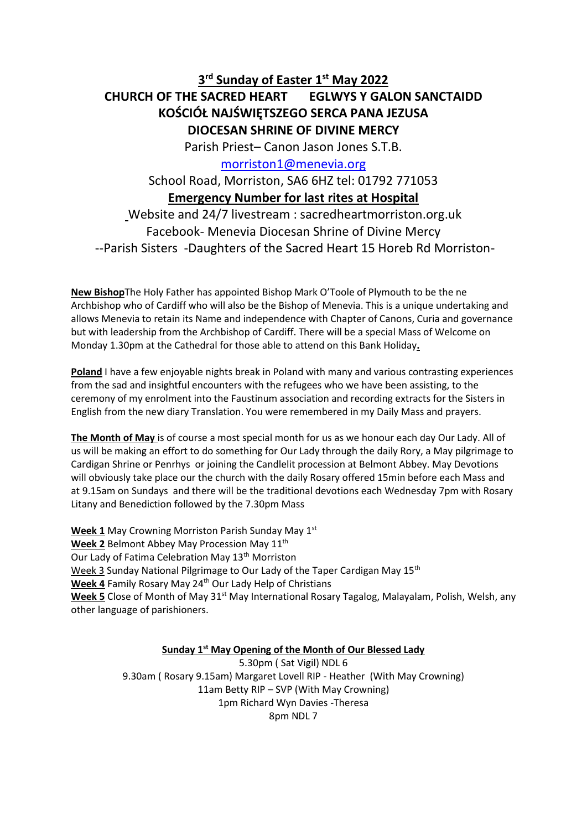# **3 rd Sunday of Easter 1st May 2022 CHURCH OF THE SACRED HEART EGLWYS Y GALON SANCTAIDD KOŚCIÓŁ NAJŚWIĘTSZEGO SERCA PANA JEZUSA DIOCESAN SHRINE OF DIVINE MERCY**

Parish Priest– Canon Jason Jones S.T.B.

[morriston1@menevia.org](mailto:morriston1@menevia.org)

School Road, Morriston, SA6 6HZ tel: 01792 771053 **Emergency Number for last rites at Hospital** 

Website and 24/7 livestream : sacredheartmorriston.org.uk Facebook- Menevia Diocesan Shrine of Divine Mercy --Parish Sisters -Daughters of the Sacred Heart 15 Horeb Rd Morriston-

**New Bishop**The Holy Father has appointed Bishop Mark O'Toole of Plymouth to be the ne Archbishop who of Cardiff who will also be the Bishop of Menevia. This is a unique undertaking and allows Menevia to retain its Name and independence with Chapter of Canons, Curia and governance but with leadership from the Archbishop of Cardiff. There will be a special Mass of Welcome on Monday 1.30pm at the Cathedral for those able to attend on this Bank Holiday**.** 

**Poland** I have a few enjoyable nights break in Poland with many and various contrasting experiences from the sad and insightful encounters with the refugees who we have been assisting, to the ceremony of my enrolment into the Faustinum association and recording extracts for the Sisters in English from the new diary Translation. You were remembered in my Daily Mass and prayers.

**The Month of May** is of course a most special month for us as we honour each day Our Lady. All of us will be making an effort to do something for Our Lady through the daily Rory, a May pilgrimage to Cardigan Shrine or Penrhys or joining the Candlelit procession at Belmont Abbey. May Devotions will obviously take place our the church with the daily Rosary offered 15min before each Mass and at 9.15am on Sundays and there will be the traditional devotions each Wednesday 7pm with Rosary Litany and Benediction followed by the 7.30pm Mass

**Week 1** May Crowning Morriston Parish Sunday May 1st Week 2 Belmont Abbey May Procession May 11<sup>th</sup> Our Lady of Fatima Celebration May 13<sup>th</sup> Morriston Week 3 Sunday National Pilgrimage to Our Lady of the Taper Cardigan May 15<sup>th</sup> Week 4 Family Rosary May 24<sup>th</sup> Our Lady Help of Christians **Week 5** Close of Month of May 31<sup>st</sup> May International Rosary Tagalog, Malayalam, Polish, Welsh, any other language of parishioners.

**Sunday 1st May Opening of the Month of Our Blessed Lady**

5.30pm ( Sat Vigil) NDL 6 9.30am ( Rosary 9.15am) Margaret Lovell RIP - Heather (With May Crowning) 11am Betty RIP – SVP (With May Crowning) 1pm Richard Wyn Davies -Theresa 8pm NDL 7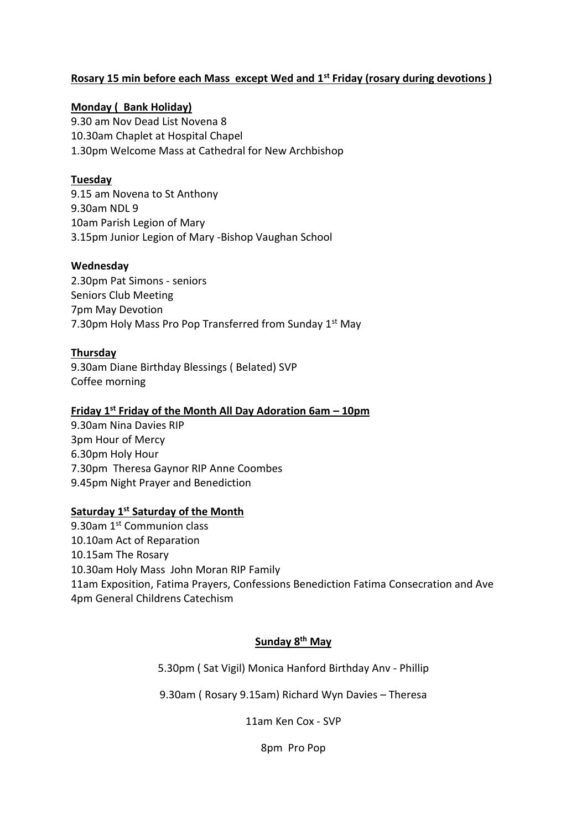## **Rosary 15 min before each Mass except Wed and 1st Friday (rosary during devotions )**

## **Monday ( Bank Holiday)**

9.30 am Nov Dead List Novena 8 10.30am Chaplet at Hospital Chapel 1.30pm Welcome Mass at Cathedral for New Archbishop

#### **Tuesday**

9.15 am Novena to St Anthony 9.30am NDL 9 10am Parish Legion of Mary 3.15pm Junior Legion of Mary -Bishop Vaughan School

#### **Wednesday**

2.30pm Pat Simons - seniors Seniors Club Meeting 7pm May Devotion 7.30pm Holy Mass Pro Pop Transferred from Sunday 1<sup>st</sup> May

#### **Thursday**

9.30am Diane Birthday Blessings ( Belated) SVP Coffee morning

## **Friday 1 st Friday of the Month All Day Adoration 6am – 10pm**

9.30am Nina Davies RIP 3pm Hour of Mercy 6.30pm Holy Hour 7.30pm Theresa Gaynor RIP Anne Coombes 9.45pm Night Prayer and Benediction

# **Saturday 1<sup>st</sup> Saturday of the Month**

9.30am 1<sup>st</sup> Communion class 10.10am Act of Reparation 10.15am The Rosary 10.30am Holy Mass John Moran RIP Family 11am Exposition, Fatima Prayers, Confessions Benediction Fatima Consecration and Ave 4pm General Childrens Catechism

# **Sunday 8 th May**

5.30pm ( Sat Vigil) Monica Hanford Birthday Anv - Phillip

9.30am ( Rosary 9.15am) Richard Wyn Davies – Theresa

11am Ken Cox - SVP

8pm Pro Pop